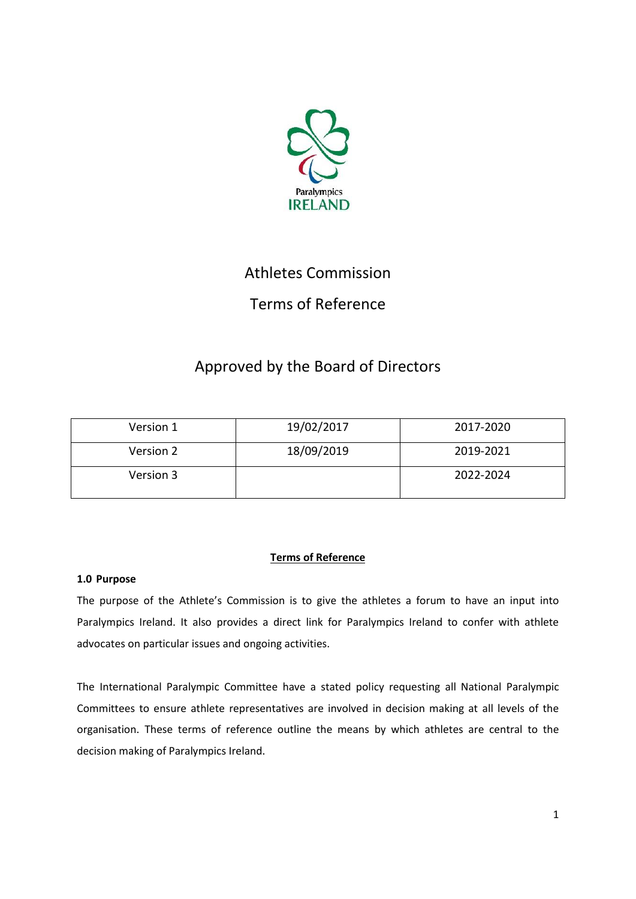

# Athletes Commission

## Terms of Reference

## Approved by the Board of Directors

| Version 1 | 19/02/2017 | 2017-2020 |
|-----------|------------|-----------|
| Version 2 | 18/09/2019 | 2019-2021 |
| Version 3 |            | 2022-2024 |

### **Terms of Reference**

### **1.0 Purpose**

The purpose of the Athlete's Commission is to give the athletes a forum to have an input into Paralympics Ireland. It also provides a direct link for Paralympics Ireland to confer with athlete advocates on particular issues and ongoing activities.

The International Paralympic Committee have a stated policy requesting all National Paralympic Committees to ensure athlete representatives are involved in decision making at all levels of the organisation. These terms of reference outline the means by which athletes are central to the decision making of Paralympics Ireland.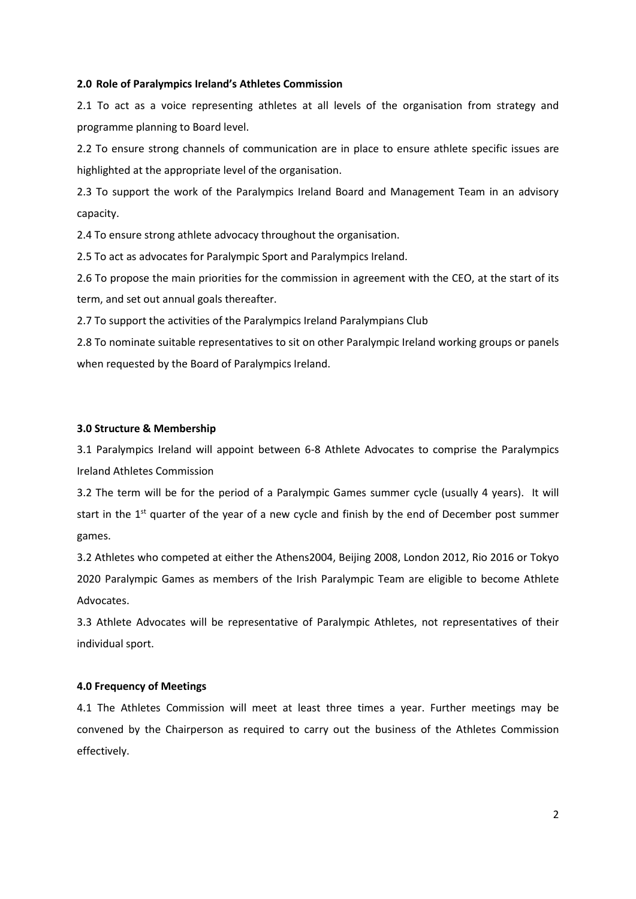#### **2.0 Role of Paralympics Ireland's Athletes Commission**

2.1 To act as a voice representing athletes at all levels of the organisation from strategy and programme planning to Board level.

2.2 To ensure strong channels of communication are in place to ensure athlete specific issues are highlighted at the appropriate level of the organisation.

2.3 To support the work of the Paralympics Ireland Board and Management Team in an advisory capacity.

2.4 To ensure strong athlete advocacy throughout the organisation.

2.5 To act as advocates for Paralympic Sport and Paralympics Ireland.

2.6 To propose the main priorities for the commission in agreement with the CEO, at the start of its term, and set out annual goals thereafter.

2.7 To support the activities of the Paralympics Ireland Paralympians Club

2.8 To nominate suitable representatives to sit on other Paralympic Ireland working groups or panels when requested by the Board of Paralympics Ireland.

#### **3.0 Structure & Membership**

3.1 Paralympics Ireland will appoint between 6-8 Athlete Advocates to comprise the Paralympics Ireland Athletes Commission

3.2 The term will be for the period of a Paralympic Games summer cycle (usually 4 years). It will start in the 1<sup>st</sup> quarter of the year of a new cycle and finish by the end of December post summer games.

3.2 Athletes who competed at either the Athens2004, Beijing 2008, London 2012, Rio 2016 or Tokyo 2020 Paralympic Games as members of the Irish Paralympic Team are eligible to become Athlete Advocates.

3.3 Athlete Advocates will be representative of Paralympic Athletes, not representatives of their individual sport.

#### **4.0 Frequency of Meetings**

4.1 The Athletes Commission will meet at least three times a year. Further meetings may be convened by the Chairperson as required to carry out the business of the Athletes Commission effectively.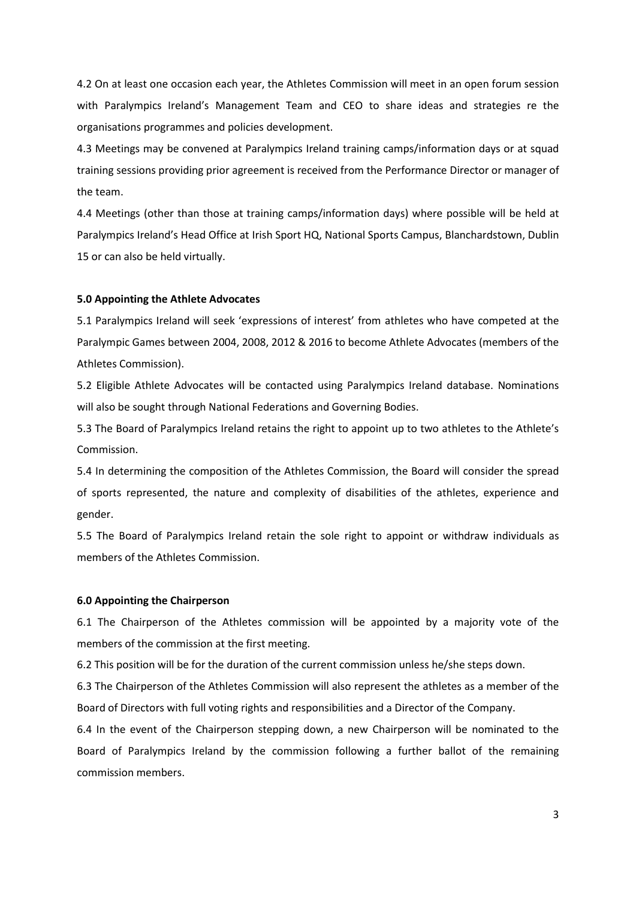4.2 On at least one occasion each year, the Athletes Commission will meet in an open forum session with Paralympics Ireland's Management Team and CEO to share ideas and strategies re the organisations programmes and policies development.

4.3 Meetings may be convened at Paralympics Ireland training camps/information days or at squad training sessions providing prior agreement is received from the Performance Director or manager of the team.

4.4 Meetings (other than those at training camps/information days) where possible will be held at Paralympics Ireland's Head Office at Irish Sport HQ, National Sports Campus, Blanchardstown, Dublin 15 or can also be held virtually.

#### **5.0 Appointing the Athlete Advocates**

5.1 Paralympics Ireland will seek 'expressions of interest' from athletes who have competed at the Paralympic Games between 2004, 2008, 2012 & 2016 to become Athlete Advocates (members of the Athletes Commission).

5.2 Eligible Athlete Advocates will be contacted using Paralympics Ireland database. Nominations will also be sought through National Federations and Governing Bodies.

5.3 The Board of Paralympics Ireland retains the right to appoint up to two athletes to the Athlete's Commission.

5.4 In determining the composition of the Athletes Commission, the Board will consider the spread of sports represented, the nature and complexity of disabilities of the athletes, experience and gender.

5.5 The Board of Paralympics Ireland retain the sole right to appoint or withdraw individuals as members of the Athletes Commission.

#### **6.0 Appointing the Chairperson**

6.1 The Chairperson of the Athletes commission will be appointed by a majority vote of the members of the commission at the first meeting.

6.2 This position will be for the duration of the current commission unless he/she steps down.

6.3 The Chairperson of the Athletes Commission will also represent the athletes as a member of the Board of Directors with full voting rights and responsibilities and a Director of the Company.

6.4 In the event of the Chairperson stepping down, a new Chairperson will be nominated to the Board of Paralympics Ireland by the commission following a further ballot of the remaining commission members.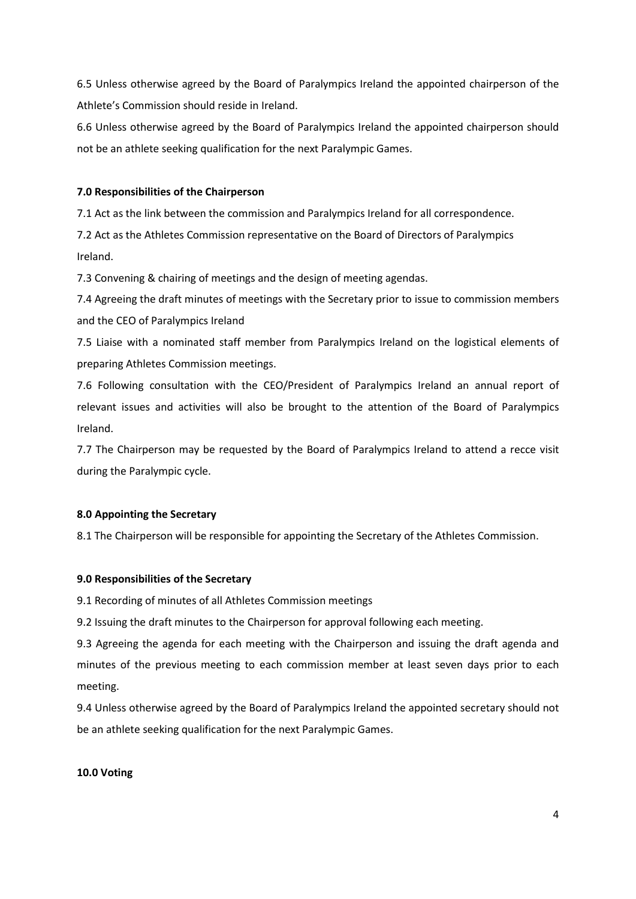6.5 Unless otherwise agreed by the Board of Paralympics Ireland the appointed chairperson of the Athlete's Commission should reside in Ireland.

6.6 Unless otherwise agreed by the Board of Paralympics Ireland the appointed chairperson should not be an athlete seeking qualification for the next Paralympic Games.

### **7.0 Responsibilities of the Chairperson**

7.1 Act as the link between the commission and Paralympics Ireland for all correspondence.

7.2 Act as the Athletes Commission representative on the Board of Directors of Paralympics Ireland.

7.3 Convening & chairing of meetings and the design of meeting agendas.

7.4 Agreeing the draft minutes of meetings with the Secretary prior to issue to commission members and the CEO of Paralympics Ireland

7.5 Liaise with a nominated staff member from Paralympics Ireland on the logistical elements of preparing Athletes Commission meetings.

7.6 Following consultation with the CEO/President of Paralympics Ireland an annual report of relevant issues and activities will also be brought to the attention of the Board of Paralympics Ireland.

7.7 The Chairperson may be requested by the Board of Paralympics Ireland to attend a recce visit during the Paralympic cycle.

#### **8.0 Appointing the Secretary**

8.1 The Chairperson will be responsible for appointing the Secretary of the Athletes Commission.

#### **9.0 Responsibilities of the Secretary**

9.1 Recording of minutes of all Athletes Commission meetings

9.2 Issuing the draft minutes to the Chairperson for approval following each meeting.

9.3 Agreeing the agenda for each meeting with the Chairperson and issuing the draft agenda and minutes of the previous meeting to each commission member at least seven days prior to each meeting.

9.4 Unless otherwise agreed by the Board of Paralympics Ireland the appointed secretary should not be an athlete seeking qualification for the next Paralympic Games.

#### **10.0 Voting**